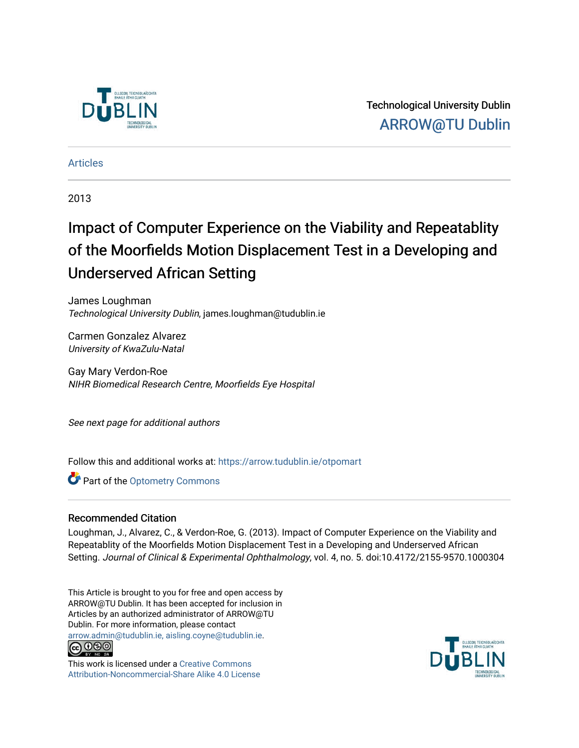

Technological University Dublin [ARROW@TU Dublin](https://arrow.tudublin.ie/) 

[Articles](https://arrow.tudublin.ie/otpomart)

2013

# Impact of Computer Experience on the Viability and Repeatablity of the Moorfields Motion Displacement Test in a Developing and Underserved African Setting

James Loughman Technological University Dublin, james.loughman@tudublin.ie

Carmen Gonzalez Alvarez University of KwaZulu-Natal

Gay Mary Verdon-Roe NIHR Biomedical Research Centre, Moorfields Eye Hospital

See next page for additional authors

Follow this and additional works at: [https://arrow.tudublin.ie/otpomart](https://arrow.tudublin.ie/otpomart?utm_source=arrow.tudublin.ie%2Fotpomart%2F34&utm_medium=PDF&utm_campaign=PDFCoverPages)

Part of the [Optometry Commons](http://network.bepress.com/hgg/discipline/730?utm_source=arrow.tudublin.ie%2Fotpomart%2F34&utm_medium=PDF&utm_campaign=PDFCoverPages) 

## Recommended Citation

Loughman, J., Alvarez, C., & Verdon-Roe, G. (2013). Impact of Computer Experience on the Viability and Repeatablity of the Moorfields Motion Displacement Test in a Developing and Underserved African Setting. Journal of Clinical & Experimental Ophthalmology, vol. 4, no. 5. doi:10.4172/2155-9570.1000304

This Article is brought to you for free and open access by ARROW@TU Dublin. It has been accepted for inclusion in Articles by an authorized administrator of ARROW@TU Dublin. For more information, please contact [arrow.admin@tudublin.ie, aisling.coyne@tudublin.ie](mailto:arrow.admin@tudublin.ie,%20aisling.coyne@tudublin.ie).



This work is licensed under a [Creative Commons](http://creativecommons.org/licenses/by-nc-sa/4.0/) [Attribution-Noncommercial-Share Alike 4.0 License](http://creativecommons.org/licenses/by-nc-sa/4.0/)

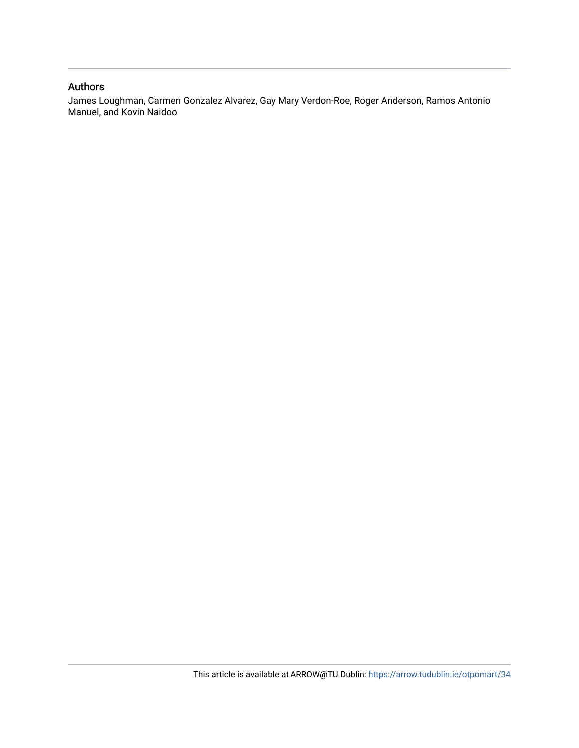## Authors

James Loughman, Carmen Gonzalez Alvarez, Gay Mary Verdon-Roe, Roger Anderson, Ramos Antonio Manuel, and Kovin Naidoo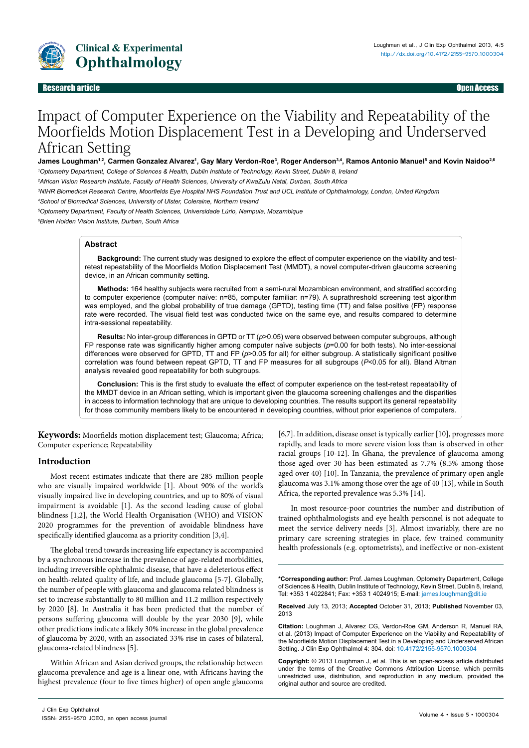

#### Research Article Open Access **Contract Contract Contract Contract Contract Contract Contract Contract Contract Contract Contract Contract Contract Contract Contract Contract Contract Contract Contract Contract Contract Con** Research article Open Access

# Impact of Computer Experience on the Viability and Repeatability of the Moorfields Motion Displacement Test in a Developing and Underserved African Setting

#### James Loughman<sup>1,2</sup>, Carmen Gonzalez Alvarez<sup>1</sup>, Gay Mary Verdon-Roe<sup>3</sup>, Roger Anderson<sup>3,4</sup>, Ramos Antonio Manuel<sup>s</sup> and Kovin Naidoo<sup>2,6</sup>

*1 Optometry Department, College of Sciences & Health, Dublin Institute of Technology, Kevin Street, Dublin 8, Ireland*

*2 African Vision Research Institute, Faculty of Health Sciences, University of KwaZulu Natal, Durban, South Africa*

*3 NIHR Biomedical Research Centre, Moorfields Eye Hospital NHS Foundation Trust and UCL Institute of Ophthalmology, London, United Kingdom*

*4 School of Biomedical Sciences, University of Ulster, Coleraine, Northern Ireland*

*5 Optometry Department, Faculty of Health Sciences, Universidade Lúrio, Nampula, Mozambique*

*6 Brien Holden Vision Institute, Durban, South Africa*

#### **Abstract**

**Background:** The current study was designed to explore the effect of computer experience on the viability and testretest repeatability of the Moorfields Motion Displacement Test (MMDT), a novel computer-driven glaucoma screening device, in an African community setting.

**Methods:** 164 healthy subjects were recruited from a semi-rural Mozambican environment, and stratified according to computer experience (computer naïve: n=85, computer familiar: n=79). A suprathreshold screening test algorithm was employed, and the global probability of true damage (GPTD), testing time (TT) and false positive (FP) response rate were recorded. The visual field test was conducted twice on the same eye, and results compared to determine intra-sessional repeatability.

**Results:** No inter-group differences in GPTD or TT (*p*>0.05) were observed between computer subgroups, although FP response rate was significantly higher among computer naïve subjects (*p*=0.00 for both tests). No inter-sessional differences were observed for GPTD, TT and FP (*p*>0.05 for all) for either subgroup. A statistically significant positive correlation was found between repeat GPTD, TT and FP measures for all subgroups (*P*<0.05 for all). Bland Altman analysis revealed good repeatability for both subgroups.

**Conclusion:** This is the first study to evaluate the effect of computer experience on the test-retest repeatability of the MMDT device in an African setting, which is important given the glaucoma screening challenges and the disparities in access to information technology that are unique to developing countries. The results support its general repeatability for those community members likely to be encountered in developing countries, without prior experience of computers.

**Keywords:** Moorfields motion displacement test; Glaucoma; Africa; Computer experience; Repeatability

### **Introduction**

Most recent estimates indicate that there are 285 million people who are visually impaired worldwide [1]. About 90% of the world's visually impaired live in developing countries, and up to 80% of visual impairment is avoidable [1]. As the second leading cause of global blindness [1,2], the World Health Organisation (WHO) and VISION 2020 programmes for the prevention of avoidable blindness have specifically identified glaucoma as a priority condition [3,4].

The global trend towards increasing life expectancy is accompanied by a synchronous increase in the prevalence of age-related morbidities, including irreversible ophthalmic disease, that have a deleterious effect on health-related quality of life, and include glaucoma [5-7]. Globally, the number of people with glaucoma and glaucoma related blindness is set to increase substantially to 80 million and 11.2 million respectively by 2020 [8]. In Australia it has been predicted that the number of persons suffering glaucoma will double by the year 2030 [9], while other predictions indicate a likely 30% increase in the global prevalence of glaucoma by 2020, with an associated 33% rise in cases of bilateral, glaucoma-related blindness [5].

Within African and Asian derived groups, the relationship between glaucoma prevalence and age is a linear one, with Africans having the highest prevalence (four to five times higher) of open angle glaucoma

[6,7]. In addition, disease onset is typically earlier [10], progresses more rapidly, and leads to more severe vision loss than is observed in other racial groups [10-12]. In Ghana, the prevalence of glaucoma among those aged over 30 has been estimated as 7.7% (8.5% among those aged over 40) [10]. In Tanzania, the prevalence of primary open angle glaucoma was 3.1% among those over the age of 40 [13], while in South Africa, the reported prevalence was 5.3% [14].

In most resource-poor countries the number and distribution of trained ophthalmologists and eye health personnel is not adequate to meet the service delivery needs [3]. Almost invariably, there are no primary care screening strategies in place, few trained community health professionals (e.g. optometrists), and ineffective or non-existent

**\*Corresponding author:** Prof. James Loughman, Optometry Department, College of Sciences & Health, Dublin Institute of Technology, Kevin Street, Dublin 8, Ireland, Tel: +353 1 4022841; Fax: +353 1 4024915; E-mail: james.loughman@dit.ie

**Received** July 13, 2013; **Accepted** October 31, 2013; **Published** November 03, 2013

**Citation:** Loughman J, Alvarez CG, Verdon-Roe GM, Anderson R, Manuel RA, et al. (2013) Impact of Computer Experience on the Viability and Repeatability of the Moorfields Motion Displacement Test in a Developing and Underserved African Setting. J Clin Exp Ophthalmol 4: 304. doi: [10.4172/2155-9570.10003](http://dx.doi.org/10.4172/2155-9570.1000304)04

**Copyright:** © 2013 Loughman J, et al. This is an open-access article distributed under the terms of the Creative Commons Attribution License, which permits unrestricted use, distribution, and reproduction in any medium, provided the original author and source are credited.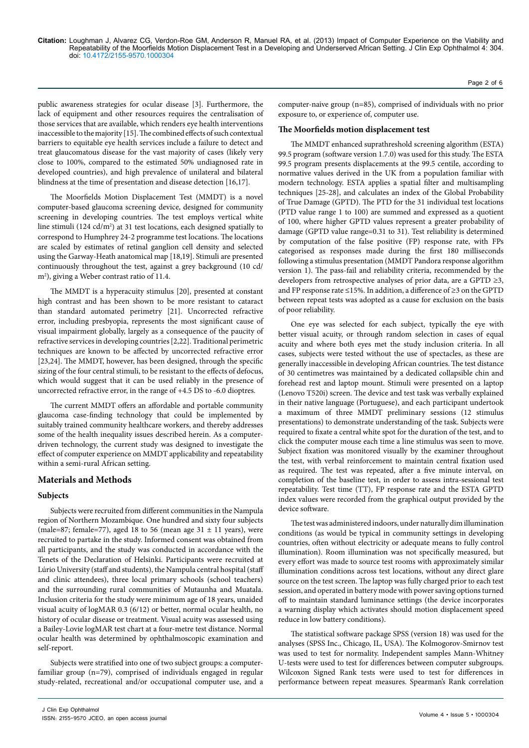public awareness strategies for ocular disease [3]. Furthermore, the lack of equipment and other resources requires the centralisation of those services that are available, which renders eye health interventions inaccessible to the majority [15]. The combined effects of such contextual barriers to equitable eye health services include a failure to detect and treat glaucomatous disease for the vast majority of cases (likely very close to 100%, compared to the estimated 50% undiagnosed rate in developed countries), and high prevalence of unilateral and bilateral blindness at the time of presentation and disease detection [16,17].

The Moorfields Motion Displacement Test (MMDT) is a novel computer-based glaucoma screening device, designed for community screening in developing countries. The test employs vertical white line stimuli (124 cd/m<sup>2</sup>) at 31 test locations, each designed spatially to correspond to Humphrey 24-2 programme test locations. The locations are scaled by estimates of retinal ganglion cell density and selected using the Garway-Heath anatomical map [18,19]. Stimuli are presented continuously throughout the test, against a grey background (10 cd/ m2 ), giving a Weber contrast ratio of 11.4.

The MMDT is a hyperacuity stimulus [20], presented at constant high contrast and has been shown to be more resistant to cataract than standard automated perimetry [21]. Uncorrected refractive error, including presbyopia, represents the most significant cause of visual impairment globally, largely as a consequence of the paucity of refractive services in developing countries [2,22]. Traditional perimetric techniques are known to be affected by uncorrected refractive error [23,24]. The MMDT, however, has been designed, through the specific sizing of the four central stimuli, to be resistant to the effects of defocus, which would suggest that it can be used reliably in the presence of uncorrected refractive error, in the range of +4.5 DS to -6.0 dioptres.

The current MMDT offers an affordable and portable community glaucoma case-finding technology that could be implemented by suitably trained community healthcare workers, and thereby addresses some of the health inequality issues described herein. As a computerdriven technology, the current study was designed to investigate the effect of computer experience on MMDT applicability and repeatability within a semi-rural African setting.

#### **Materials and Methods**

#### **Subjects**

Subjects were recruited from different communities in the Nampula region of Northern Mozambique. One hundred and sixty four subjects (male=87; female=77), aged 18 to 56 (mean age  $31 \pm 11$  years), were recruited to partake in the study. Informed consent was obtained from all participants, and the study was conducted in accordance with the Tenets of the Declaration of Helsinki. Participants were recruited at Lúrio University (staff and students), the Nampula central hospital (staff and clinic attendees), three local primary schools (school teachers) and the surrounding rural communities of Mutaunha and Muatala. Inclusion criteria for the study were minimum age of 18 years, unaided visual acuity of logMAR 0.3 (6/12) or better, normal ocular health, no history of ocular disease or treatment. Visual acuity was assessed using a Bailey-Lovie logMAR test chart at a four-metre test distance. Normal ocular health was determined by ophthalmoscopic examination and self-report.

Subjects were stratified into one of two subject groups: a computerfamiliar group (n=79), comprised of individuals engaged in regular study-related, recreational and/or occupational computer use, and a computer-naive group (n=85), comprised of individuals with no prior exposure to, or experience of, computer use.

#### **The Moorfields motion displacement test**

The MMDT enhanced suprathreshold screening algorithm (ESTA) 99.5 program (software version 1.7.0) was used for this study. The ESTA 99.5 program presents displacements at the 99.5 centile, according to normative values derived in the UK from a population familiar with modern technology. ESTA applies a spatial filter and multisampling techniques [25-28], and calculates an index of the Global Probability of True Damage (GPTD). The PTD for the 31 individual test locations (PTD value range 1 to 100) are summed and expressed as a quotient of 100, where higher GPTD values represent a greater probability of damage (GPTD value range=0.31 to 31). Test reliability is determined by computation of the false positive (FP) response rate, with FPs categorised as responses made during the first 180 milliseconds following a stimulus presentation (MMDT Pandora response algorithm version 1). The pass-fail and reliability criteria, recommended by the developers from retrospective analyses of prior data, are a GPTD  $\geq 3$ , and FP response rate ≤15%. In addition, a difference of ≥3 on the GPTD between repeat tests was adopted as a cause for exclusion on the basis of poor reliability.

One eye was selected for each subject, typically the eye with better visual acuity, or through random selection in cases of equal acuity and where both eyes met the study inclusion criteria. In all cases, subjects were tested without the use of spectacles, as these are generally inaccessible in developing African countries. The test distance of 30 centimetres was maintained by a dedicated collapsible chin and forehead rest and laptop mount. Stimuli were presented on a laptop (Lenovo T520i) screen. The device and test task was verbally explained in their native language (Portuguese), and each participant undertook a maximum of three MMDT preliminary sessions (12 stimulus presentations) to demonstrate understanding of the task. Subjects were required to fixate a central white spot for the duration of the test, and to click the computer mouse each time a line stimulus was seen to move. Subject fixation was monitored visually by the examiner throughout the test, with verbal reinforcement to maintain central fixation used as required. The test was repeated, after a five minute interval, on completion of the baseline test, in order to assess intra-sessional test repeatability. Test time (TT), FP response rate and the ESTA GPTD index values were recorded from the graphical output provided by the device software.

The test was administered indoors, under naturally dim illumination conditions (as would be typical in community settings in developing countries, often without electricity or adequate means to fully control illumination). Room illumination was not specifically measured, but every effort was made to source test rooms with approximately similar illumination conditions across test locations, without any direct glare source on the test screen. The laptop was fully charged prior to each test session, and operated in battery mode with power saving options turned off to maintain standard luminance settings (the device incorporates a warning display which activates should motion displacement speed reduce in low battery conditions).

The statistical software package SPSS (version 18) was used for the analyses (SPSS Inc., Chicago, IL, USA). The Kolmogorov-Smirnov test was used to test for normality. Independent samples Mann-Whitney U-tests were used to test for differences between computer subgroups. Wilcoxon Signed Rank tests were used to test for differences in performance between repeat measures. Spearman's Rank correlation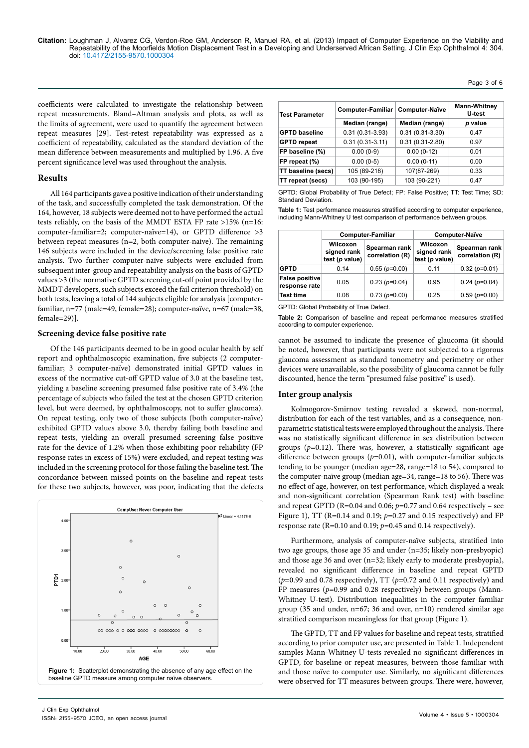coefficients were calculated to investigate the relationship between repeat measurements. Bland–Altman analysis and plots, as well as the limits of agreement, were used to quantify the agreement between repeat measures [29]. Test-retest repeatability was expressed as a coefficient of repeatability, calculated as the standard deviation of the mean difference between measurements and multiplied by 1.96. A five percent significance level was used throughout the analysis.

#### **Results**

All 164 participants gave a positive indication of their understanding of the task, and successfully completed the task demonstration. Of the 164, however, 18 subjects were deemed not to have performed the actual tests reliably, on the basis of the MMDT ESTA FP rate >15% (n=16: computer-familiar=2; computer-naïve=14), or GPTD difference >3 between repeat measures (n=2, both computer-naive). The remaining 146 subjects were included in the device/screening false positive rate analysis. Two further computer-naïve subjects were excluded from subsequent inter-group and repeatability analysis on the basis of GPTD values >3 (the normative GPTD screening cut-off point provided by the MMDT developers, such subjects exceed the fail criterion threshold) on both tests, leaving a total of 144 subjects eligible for analysis [computerfamiliar, n=77 (male=49, female=28); computer-naïve, n=67 (male=38, female=29)].

#### **Screening device false positive rate**

Of the 146 participants deemed to be in good ocular health by self report and ophthalmoscopic examination, five subjects (2 computerfamiliar; 3 computer-naïve) demonstrated initial GPTD values in excess of the normative cut-off GPTD value of 3.0 at the baseline test, yielding a baseline screening presumed false positive rate of 3.4% (the percentage of subjects who failed the test at the chosen GPTD criterion level, but were deemed, by ophthalmoscopy, not to suffer glaucoma). On repeat testing, only two of those subjects (both computer-naïve) exhibited GPTD values above 3.0, thereby failing both baseline and repeat tests, yielding an overall presumed screening false positive rate for the device of 1.2% when those exhibiting poor reliability (FP response rates in excess of 15%) were excluded, and repeat testing was included in the screening protocol for those failing the baseline test. The concordance between missed points on the baseline and repeat tests for these two subjects, however, was poor, indicating that the defects



| <b>Test Parameter</b> | Computer-Familiar<br>Computer-Naïve |                     | <b>Mann-Whitney</b><br>U-test |
|-----------------------|-------------------------------------|---------------------|-------------------------------|
|                       | Median (range)                      | Median (range)      | p value                       |
| <b>GPTD baseline</b>  | $0.31(0.31-3.93)$                   | $0.31(0.31-3.30)$   | 0.47                          |
| <b>GPTD</b> repeat    | $0.31(0.31-3.11)$                   | $0.31(0.31 - 2.80)$ | 0.97                          |
| FP baseline (%)       | $0.00(0-9)$                         | $0.00(0-12)$        | 0.01                          |
| FP repeat (%)         | $0.00(0-5)$                         | $0.00(0-11)$        | 0.00                          |
| TT baseline (secs)    | 105 (89-218)                        | 107(87-269)         | 0.33                          |
| TT repeat (secs)      | 103 (90-195)                        | 103 (90-221)        | 0.47                          |

Page 3 of 6

GPTD: Global Probability of True Defect; FP: False Positive; TT: Test Time; SD: Standard Deviation.

**Table 1:** Test performance measures stratified according to computer experience, including Mann-Whitney U test comparison of performance between groups.

|                                        | <b>Computer-Familiar</b>                  |                                  | <b>Computer-Naïve</b>                     |                                  |
|----------------------------------------|-------------------------------------------|----------------------------------|-------------------------------------------|----------------------------------|
|                                        | Wilcoxon<br>signed rank<br>test (p value) | Spearman rank<br>correlation (R) | Wilcoxon<br>signed rank<br>test (p value) | Spearman rank<br>correlation (R) |
| <b>GPTD</b>                            | 0.14                                      | $0.55(p=0.00)$                   | 0.11                                      | $0.32(p=0.01)$                   |
| <b>False positive</b><br>response rate | 0.05                                      | $0.23(p=0.04)$                   | 0.95                                      | $0.24(p=0.04)$                   |
| <b>Test time</b>                       | 0.08                                      | $0.73(p=0.00)$                   | 0.25                                      | $0.59(p=0.00)$                   |

GPTD: Global Probability of True Defect.

**Table 2:** Comparison of baseline and repeat performance measures stratified according to computer experience.

cannot be assumed to indicate the presence of glaucoma (it should be noted, however, that participants were not subjected to a rigorous glaucoma assessment as standard tonometry and perimetry or other devices were unavailable, so the possibility of glaucoma cannot be fully discounted, hence the term "presumed false positive" is used).

#### **Inter group analysis**

Kolmogorov-Smirnov testing revealed a skewed, non-normal, distribution for each of the test variables, and as a consequence, nonparametric statistical tests were employed throughout the analysis. There was no statistically significant difference in sex distribution between groups (*p=*0.12). There was, however, a statistically significant age difference between groups (*p*=0.01), with computer-familiar subjects tending to be younger (median age=28, range=18 to 54), compared to the computer-naïve group (median age=34, range=18 to 56). There was no effect of age, however, on test performance, which displayed a weak and non-significant correlation (Spearman Rank test) with baseline and repeat GPTD ( $R=0.04$  and  $0.06$ ;  $p=0.77$  and  $0.64$  respectively – see Figure 1), TT (R=0.14 and 0.19; *p*=0.27 and 0.15 respectively) and FP response rate (R=0.10 and 0.19; *p*=0.45 and 0.14 respectively).

Furthermore, analysis of computer-naïve subjects, stratified into two age groups, those age 35 and under (n=35; likely non-presbyopic) and those age 36 and over (n=32; likely early to moderate presbyopia), revealed no significant difference in baseline and repeat GPTD (*p*=0.99 and 0.78 respectively), TT (*p*=0.72 and 0.11 respectively) and FP measures (*p*=0.99 and 0.28 respectively) between groups (Mann-Whitney U-test). Distribution inequalities in the computer familiar group (35 and under, n=67; 36 and over, n=10) rendered similar age stratified comparison meaningless for that group (Figure 1).

The GPTD, TT and FP values for baseline and repeat tests, stratified according to prior computer use, are presented in Table 1. Independent samples Mann-Whitney U-tests revealed no significant differences in GPTD, for baseline or repeat measures, between those familiar with and those naïve to computer use. Similarly, no significant differences were observed for TT measures between groups. There were, however,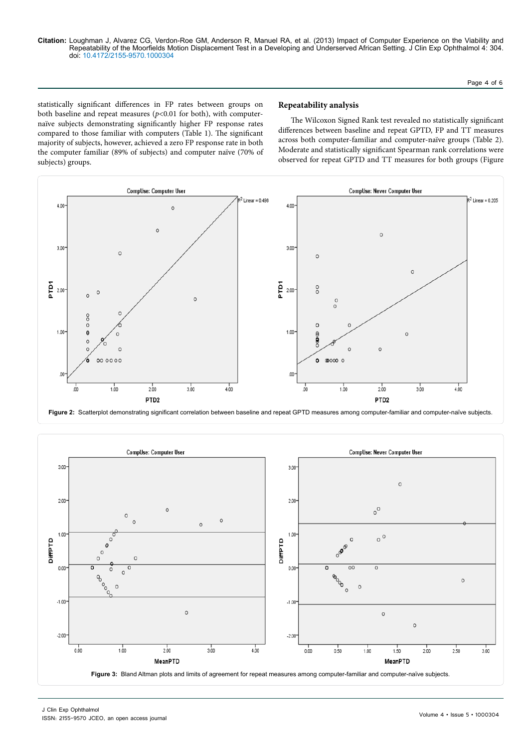Page 4 of 6

statistically significant differences in FP rates between groups on both baseline and repeat measures  $(p<0.01$  for both), with computernaïve subjects demonstrating significantly higher FP response rates compared to those familiar with computers (Table 1). The significant majority of subjects, however, achieved a zero FP response rate in both the computer familiar (89% of subjects) and computer naïve (70% of subjects) groups.

#### **Repeatability analysis**

The Wilcoxon Signed Rank test revealed no statistically significant differences between baseline and repeat GPTD, FP and TT measures across both computer-familiar and computer-naïve groups (Table 2). Moderate and statistically significant Spearman rank correlations were observed for repeat GPTD and TT measures for both groups (Figure





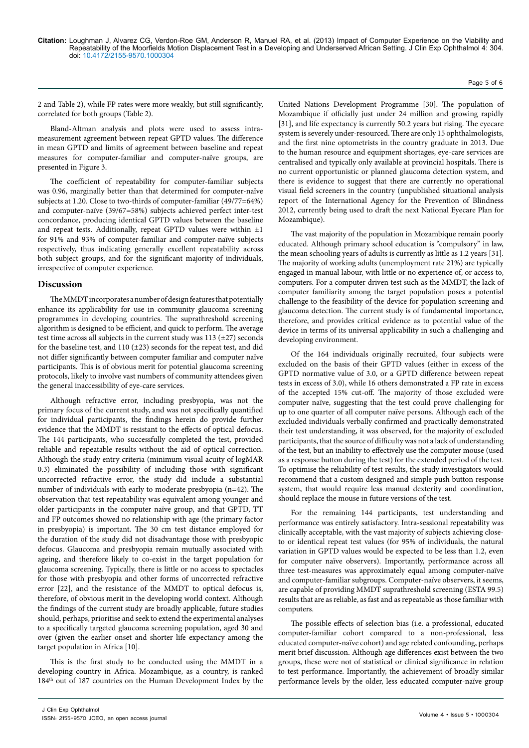2 and Table 2), while FP rates were more weakly, but still significantly, correlated for both groups (Table 2).

Bland-Altman analysis and plots were used to assess intrameasurement agreement between repeat GPTD values. The difference in mean GPTD and limits of agreement between baseline and repeat measures for computer-familiar and computer-naïve groups, are presented in Figure 3.

The coefficient of repeatability for computer-familiar subjects was 0.96, marginally better than that determined for computer-naïve subjects at 1.20. Close to two-thirds of computer-familiar (49/77=64%) and computer-naïve (39/67=58%) subjects achieved perfect inter-test concordance, producing identical GPTD values between the baseline and repeat tests. Additionally, repeat GPTD values were within  $\pm 1$ for 91% and 93% of computer-familiar and computer-naïve subjects respectively, thus indicating generally excellent repeatability across both subject groups, and for the significant majority of individuals, irrespective of computer experience.

#### **Discussion**

The MMDT incorporates a number of design features that potentially enhance its applicability for use in community glaucoma screening programmes in developing countries. The suprathreshold screening algorithm is designed to be efficient, and quick to perform. The average test time across all subjects in the current study was  $113 \pm 27$ ) seconds for the baseline test, and  $110 (\pm 23)$  seconds for the repeat test, and did not differ significantly between computer familiar and computer naïve participants. This is of obvious merit for potential glaucoma screening protocols, likely to involve vast numbers of community attendees given the general inaccessibility of eye-care services.

Although refractive error, including presbyopia, was not the primary focus of the current study, and was not specifically quantified for individual participants, the findings herein do provide further evidence that the MMDT is resistant to the effects of optical defocus. The 144 participants, who successfully completed the test, provided reliable and repeatable results without the aid of optical correction. Although the study entry criteria (minimum visual acuity of logMAR 0.3) eliminated the possibility of including those with significant uncorrected refractive error, the study did include a substantial number of individuals with early to moderate presbyopia (n=42). The observation that test repeatability was equivalent among younger and older participants in the computer naïve group, and that GPTD, TT and FP outcomes showed no relationship with age (the primary factor in presbyopia) is important. The 30 cm test distance employed for the duration of the study did not disadvantage those with presbyopic defocus. Glaucoma and presbyopia remain mutually associated with ageing, and therefore likely to co-exist in the target population for glaucoma screening. Typically, there is little or no access to spectacles for those with presbyopia and other forms of uncorrected refractive error [22], and the resistance of the MMDT to optical defocus is, therefore, of obvious merit in the developing world context. Although the findings of the current study are broadly applicable, future studies should, perhaps, prioritise and seek to extend the experimental analyses to a specifically targeted glaucoma screening population, aged 30 and over (given the earlier onset and shorter life expectancy among the target population in Africa [10].

This is the first study to be conducted using the MMDT in a developing country in Africa. Mozambique, as a country, is ranked 184th out of 187 countries on the Human Development Index by the

United Nations Development Programme [30]. The population of Mozambique if officially just under 24 million and growing rapidly [31], and life expectancy is currently 50.2 years but rising. The eyecare system is severely under-resourced. There are only 15 ophthalmologists, and the first nine optometrists in the country graduate in 2013. Due to the human resource and equipment shortages, eye-care services are centralised and typically only available at provincial hospitals. There is no current opportunistic or planned glaucoma detection system, and there is evidence to suggest that there are currently no operational visual field screeners in the country (unpublished situational analysis report of the International Agency for the Prevention of Blindness 2012, currently being used to draft the next National Eyecare Plan for Mozambique).

The vast majority of the population in Mozambique remain poorly educated. Although primary school education is "compulsory" in law, the mean schooling years of adults is currently as little as 1.2 years [31]. The majority of working adults (unemployment rate 21%) are typically engaged in manual labour, with little or no experience of, or access to, computers. For a computer driven test such as the MMDT, the lack of computer familiarity among the target population poses a potential challenge to the feasibility of the device for population screening and glaucoma detection. The current study is of fundamental importance, therefore, and provides critical evidence as to potential value of the device in terms of its universal applicability in such a challenging and developing environment.

Of the 164 individuals originally recruited, four subjects were excluded on the basis of their GPTD values (either in excess of the GPTD normative value of 3.0, or a GPTD difference between repeat tests in excess of 3.0), while 16 others demonstrated a FP rate in excess of the accepted 15% cut-off. The majority of those excluded were computer naïve, suggesting that the test could prove challenging for up to one quarter of all computer naïve persons. Although each of the excluded individuals verbally confirmed and practically demonstrated their test understanding, it was observed, for the majority of excluded participants, that the source of difficulty was not a lack of understanding of the test, but an inability to effectively use the computer mouse (used as a response button during the test) for the extended period of the test. To optimise the reliability of test results, the study investigators would recommend that a custom designed and simple push button response system, that would require less manual dexterity and coordination, should replace the mouse in future versions of the test.

For the remaining 144 participants, test understanding and performance was entirely satisfactory. Intra-sessional repeatability was clinically acceptable, with the vast majority of subjects achieving closeto or identical repeat test values (for 95% of individuals, the natural variation in GPTD values would be expected to be less than 1.2, even for computer naïve observers). Importantly, performance across all three test-measures was approximately equal among computer-naïve and computer-familiar subgroups. Computer-naïve observers, it seems, are capable of providing MMDT suprathreshold screening (ESTA 99.5) results that are as reliable, as fast and as repeatable as those familiar with computers.

The possible effects of selection bias (i.e. a professional, educated computer-familiar cohort compared to a non-professional, less educated computer-naïve cohort) and age related confounding, perhaps merit brief discussion. Although age differences exist between the two groups, these were not of statistical or clinical significance in relation to test performance. Importantly, the achievement of broadly similar performance levels by the older, less educated computer-naïve group